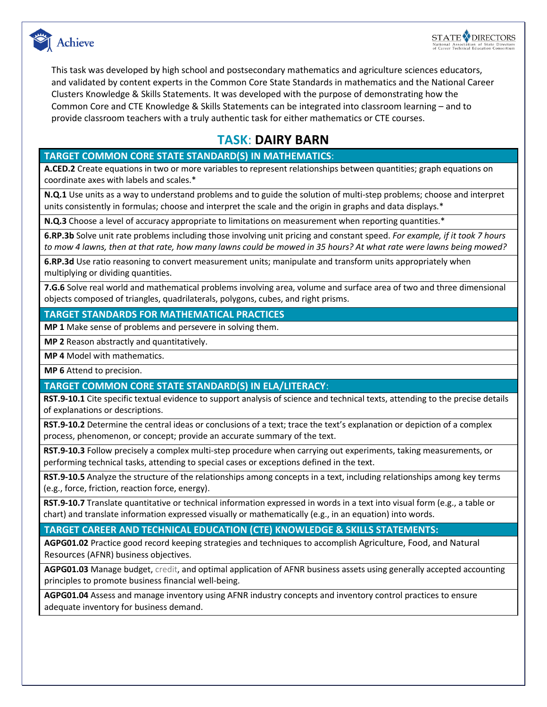



This task was developed by high school and postsecondary mathematics and agriculture sciences educators, and validated by content experts in the Common Core State Standards in mathematics and the National Career Clusters Knowledge & Skills Statements. It was developed with the purpose of demonstrating how the Common Core and CTE Knowledge & Skills Statements can be integrated into classroom learning – and to provide classroom teachers with a truly authentic task for either mathematics or CTE courses.

## **TASK**: **DAIRY BARN**

#### **TARGET COMMON CORE STATE STANDARD(S) IN MATHEMATICS**:

**A.CED.2** Create equations in two or more variables to represent relationships between quantities; graph equations on coordinate axes with labels and scales.\*

**N.Q.1** Use units as a way to understand problems and to guide the solution of multi-step problems; choose and interpret units consistently in formulas; choose and interpret the scale and the origin in graphs and data displays.\*

**N.Q.3** Choose a level of accuracy appropriate to limitations on measurement when reporting quantities.\*

**6.RP.3b** Solve unit rate problems including those involving unit pricing and constant speed. *For example, if it took 7 hours to mow 4 lawns, then at that rate, how many lawns could be mowed in 35 hours? At what rate were lawns being mowed?*

**6.RP.3d** Use ratio reasoning to convert measurement units; manipulate and transform units appropriately when multiplying or dividing quantities.

**7.G.6** Solve real world and mathematical problems involving area, volume and surface area of two and three dimensional objects composed of triangles, quadrilaterals, polygons, cubes, and right prisms.

#### **TARGET STANDARDS FOR MATHEMATICAL PRACTICES**

**MP 1** Make sense of problems and persevere in solving them.

**MP 2** Reason abstractly and quantitatively.

**MP 4** Model with mathematics.

**MP 6** Attend to precision.

#### **TARGET COMMON CORE STATE STANDARD(S) IN ELA/LITERACY**:

**RST.9-10.1** Cite specific textual evidence to support analysis of science and technical texts, attending to the precise details of explanations or descriptions.

**RST.9-10.2** Determine the central ideas or conclusions of a text; trace the text's explanation or depiction of a complex process, phenomenon, or concept; provide an accurate summary of the text.

**RST.9-10.3** Follow precisely a complex multi-step procedure when carrying out experiments, taking measurements, or performing technical tasks, attending to special cases or exceptions defined in the text.

**RST.9-10.5** Analyze the structure of the relationships among concepts in a text, including relationships among key terms (e.g., force, friction, reaction force, energy).

**RST.9-10.7** Translate quantitative or technical information expressed in words in a text into visual form (e.g., a table or chart) and translate information expressed visually or mathematically (e.g., in an equation) into words.

#### **TARGET CAREER AND TECHNICAL EDUCATION (CTE) KNOWLEDGE & SKILLS STATEMENTS:**

**AGPG01.02** Practice good record keeping strategies and techniques to accomplish Agriculture, Food, and Natural Resources (AFNR) business objectives.

**AGPG01.03** Manage budget, credit, and optimal application of AFNR business assets using generally accepted accounting principles to promote business financial well-being.

**AGPG01.04** Assess and manage inventory using AFNR industry concepts and inventory control practices to ensure adequate inventory for business demand.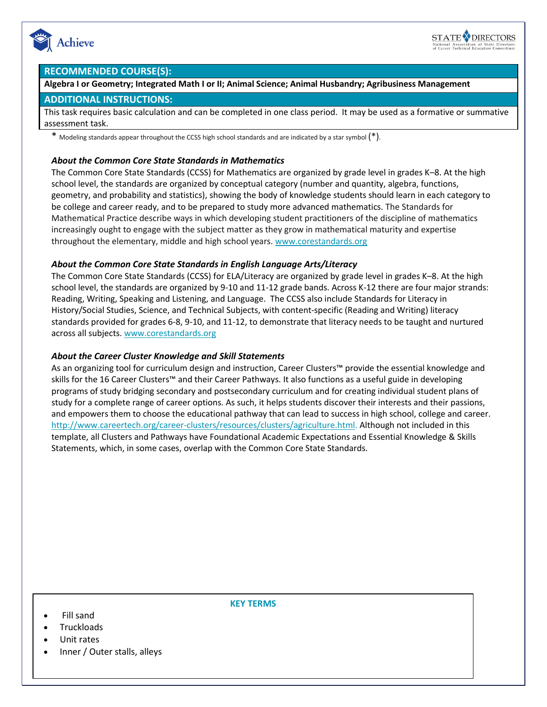



#### **RECOMMENDED COURSE(S):**

**Algebra I or Geometry; Integrated Math I or II; Animal Science; Animal Husbandry; Agribusiness Management**

#### **ADDITIONAL INSTRUCTIONS:**

This task requires basic calculation and can be completed in one class period. It may be used as a formative or summative assessment task.

\* Modeling standards appear throughout the CCSS high school standards and are indicated by a star symbol  $(*)$ .

#### *About the Common Core State Standards in Mathematics*

The Common Core State Standards (CCSS) for Mathematics are organized by grade level in grades K–8. At the high school level, the standards are organized by conceptual category (number and quantity, algebra, functions, geometry, and probability and statistics), showing the body of knowledge students should learn in each category to be college and career ready, and to be prepared to study more advanced mathematics. The Standards for Mathematical Practice describe ways in which developing student practitioners of the discipline of mathematics increasingly ought to engage with the subject matter as they grow in mathematical maturity and expertise throughout the elementary, middle and high school years. [www.corestandards.org](http://www.corestandards.org/)

#### *About the Common Core State Standards in English Language Arts/Literacy*

The Common Core State Standards (CCSS) for ELA/Literacy are organized by grade level in grades K–8. At the high school level, the standards are organized by 9-10 and 11-12 grade bands. Across K-12 there are four major strands: Reading, Writing, Speaking and Listening, and Language. The CCSS also include Standards for Literacy in History/Social Studies, Science, and Technical Subjects, with content-specific (Reading and Writing) literacy standards provided for grades 6-8, 9-10, and 11-12, to demonstrate that literacy needs to be taught and nurtured across all subjects. [www.corestandards.org](http://www.corestandards.org/)

#### *About the Career Cluster Knowledge and Skill Statements*

As an organizing tool for curriculum design and instruction, Career Clusters™ provide the essential knowledge and skills for the 16 Career Clusters™ and their Career Pathways. It also functions as a useful guide in developing programs of study bridging secondary and postsecondary curriculum and for creating individual student plans of study for a complete range of career options. As such, it helps students discover their interests and their passions, and empowers them to choose the educational pathway that can lead to success in high school, college and career. [http://www.careertech.org/career-clusters/resources/clusters/agriculture.html.](http://www.careertech.org/career-clusters/resources/clusters/agriculture.html) Although not included in this template, all Clusters and Pathways have Foundational Academic Expectations and Essential Knowledge & Skills Statements, which, in some cases, overlap with the Common Core State Standards.

- Fill sand
- **Truckloads**
- Unit rates
- Inner / Outer stalls, alleys

**KEY TERMS**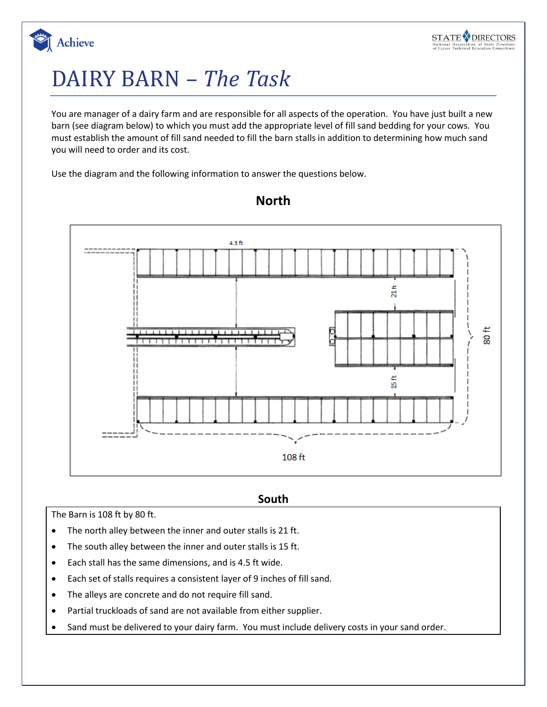

# DAIRY BARN *– The Task*

You are manager of a dairy farm and are responsible for all aspects of the operation. You have just built a new barn (see diagram below) to which you must add the appropriate level of fill sand bedding for your cows. You must establish the amount of fill sand needed to fill the barn stalls in addition to determining how much sand you will need to order and its cost.

Use the diagram and the following information to answer the questions below.



### **North**

#### **South**

The Barn is 108 ft by 80 ft.

- The north alley between the inner and outer stalls is 21 ft.
- The south alley between the inner and outer stalls is 15 ft.
- Each stall has the same dimensions, and is 4.5 ft wide.
- Each set of stalls requires a consistent layer of 9 inches of fill sand.
- The alleys are concrete and do not require fill sand.
- Partial truckloads of sand are not available from either supplier.
- Sand must be delivered to your dairy farm. You must include delivery costs in your sand order.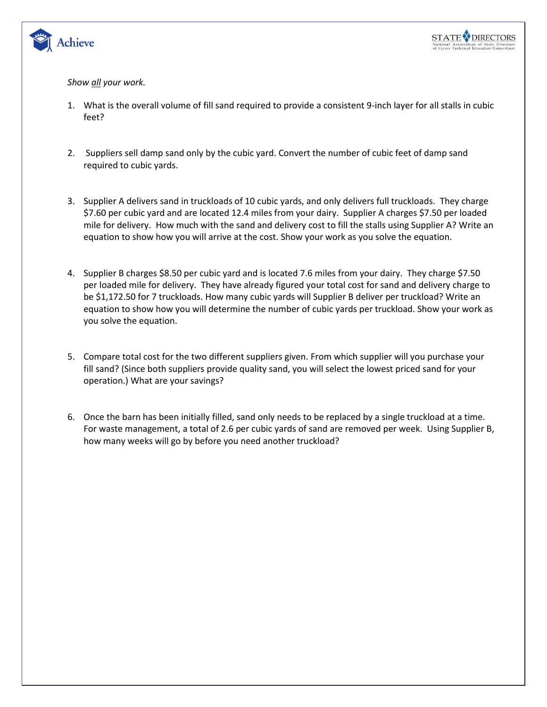

#### *Show all your work.*

- 1. What is the overall volume of fill sand required to provide a consistent 9-inch layer for all stalls in cubic feet?
- 2. Suppliers sell damp sand only by the cubic yard. Convert the number of cubic feet of damp sand required to cubic yards.
- 3. Supplier A delivers sand in truckloads of 10 cubic yards, and only delivers full truckloads. They charge \$7.60 per cubic yard and are located 12.4 miles from your dairy. Supplier A charges \$7.50 per loaded mile for delivery. How much with the sand and delivery cost to fill the stalls using Supplier A? Write an equation to show how you will arrive at the cost. Show your work as you solve the equation.
- 4. Supplier B charges \$8.50 per cubic yard and is located 7.6 miles from your dairy. They charge \$7.50 per loaded mile for delivery. They have already figured your total cost for sand and delivery charge to be \$1,172.50 for 7 truckloads. How many cubic yards will Supplier B deliver per truckload? Write an equation to show how you will determine the number of cubic yards per truckload. Show your work as you solve the equation.
- 5. Compare total cost for the two different suppliers given. From which supplier will you purchase your fill sand? (Since both suppliers provide quality sand, you will select the lowest priced sand for your operation.) What are your savings?
- 6. Once the barn has been initially filled, sand only needs to be replaced by a single truckload at a time. For waste management, a total of 2.6 per cubic yards of sand are removed per week. Using Supplier B, how many weeks will go by before you need another truckload?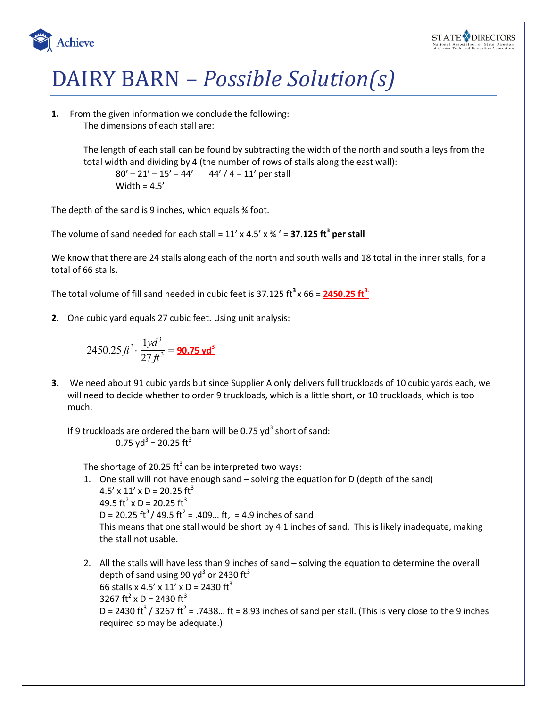

# DAIRY BARN – *Possible Solution(s)*

**1.** From the given information we conclude the following: The dimensions of each stall are:

Achieve

The length of each stall can be found by subtracting the width of the north and south alleys from the total width and dividing by 4 (the number of rows of stalls along the east wall):

 $80' - 21' - 15' = 44'$  44' / 4 = 11' per stall Width =  $4.5'$ 

The depth of the sand is 9 inches, which equals ¾ foot.

The volume of sand needed for each stall = 11' x 4.5' x ¾ ' = **37.125 ft<sup>3</sup> per stall**

We know that there are 24 stalls along each of the north and south walls and 18 total in the inner stalls, for a total of 66 stalls.

The total volume of fill sand needed in cubic feet is 37.125 ft **3** x 66 = **2450.25 ft3.**

**2.** One cubic yard equals 27 cubic feet. Using unit analysis:

$$
2450.25 \, \text{ft}^3 \cdot \frac{1 \text{yd}^3}{27 \, \text{ft}^3} = \frac{\text{90.75 yd}^3}{}
$$

**3.** We need about 91 cubic yards but since Supplier A only delivers full truckloads of 10 cubic yards each, we will need to decide whether to order 9 truckloads, which is a little short, or 10 truckloads, which is too much.

If 9 truckloads are ordered the barn will be 0.75  $yd^3$  short of sand: 0.75 yd $3$  = 20.25 ft $3$ 

The shortage of 20.25 ft<sup>3</sup> can be interpreted two ways:

- 1. One stall will not have enough sand solving the equation for D (depth of the sand)  $4.5' \times 11' \times D = 20.25$  ft<sup>3</sup> 49.5 ft<sup>2</sup> x D = 20.25 ft<sup>3</sup>  $D = 20.25 \text{ ft}^3 / 49.5 \text{ ft}^2 = .409... \text{ ft}$ , = 4.9 inches of sand This means that one stall would be short by 4.1 inches of sand. This is likely inadequate, making the stall not usable.
- 2. All the stalls will have less than 9 inches of sand solving the equation to determine the overall depth of sand using 90 yd<sup>3</sup> or 2430 ft<sup>3</sup> 66 stalls x 4.5' x 11' x D = 2430 ft<sup>3</sup> 3267 ft<sup>2</sup> x D = 2430 ft<sup>3</sup> D = 2430 ft<sup>3</sup> / 3267 ft<sup>2</sup> = .7438... ft = 8.93 inches of sand per stall. (This is very close to the 9 inches required so may be adequate.)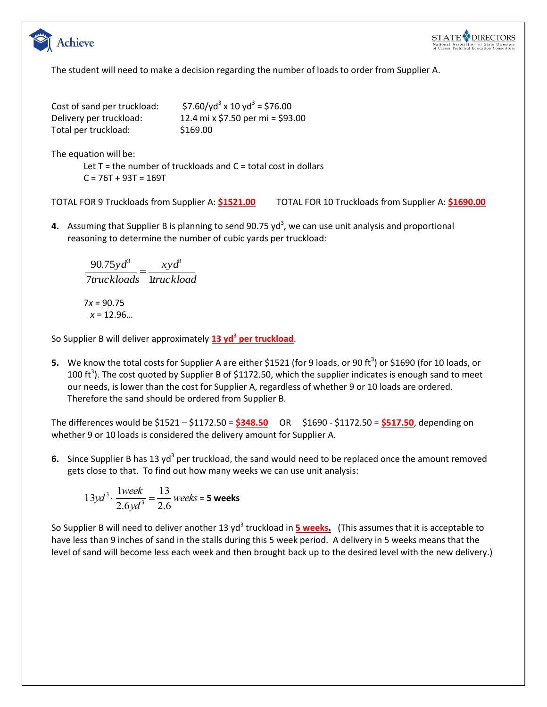



The student will need to make a decision regarding the number of loads to order from Supplier A.

| Cost of sand per truckload: | \$7.60/yd <sup>3</sup> x 10 yd <sup>3</sup> = \$76.00 |
|-----------------------------|-------------------------------------------------------|
| Delivery per truckload:     | 12.4 mi x \$7.50 per mi = \$93                        |
| Total per truckload:        | \$169.00                                              |

 $12.4$  mi x \$7.50 per mi = \$93.00  $$169.00$ 

The equation will be:

Let  $T =$  the number of truckloads and  $C =$  total cost in dollars  $C = 76T + 93T = 169T$ 

TOTAL FOR 9 Truckloads from Supplier A: **\$1521.00** TOTAL FOR 10 Truckloads from Supplier A: **\$1690.00**

4. Assuming that Supplier B is planning to send 90.75 yd<sup>3</sup>, we can use unit analysis and proportional reasoning to determine the number of cubic yards per truckload:

7truckloads ltruckload *xyd* 90.75  $y d^3$   $xy d^3$  $=$ 

7*x* = 90.75 *x* = 12.96…

So Supplier B will deliver approximately **13 yd<sup>3</sup> per truckload**.

**5.** We know the total costs for Supplier A are either \$1521 (for 9 loads, or 90 ft<sup>3</sup>) or \$1690 (for 10 loads, or 100 ft<sup>3</sup>). The cost quoted by Supplier B of \$1172.50, which the supplier indicates is enough sand to meet our needs, is lower than the cost for Supplier A, regardless of whether 9 or 10 loads are ordered. Therefore the sand should be ordered from Supplier B.

The differences would be \$1521 – \$1172.50 = **\$348.50** OR \$1690 - \$1172.50 = **\$517.50**, depending on whether 9 or 10 loads is considered the delivery amount for Supplier A.

6. Since Supplier B has 13 yd<sup>3</sup> per truckload, the sand would need to be replaced once the amount removed gets close to that. To find out how many weeks we can use unit analysis:

$$
13yd^{3} \cdot \frac{1week}{2.6yd^{3}} = \frac{13}{2.6} weeks = 5 weeks
$$

So Supplier B will need to deliver another 13 yd<sup>3</sup> truckload in <mark>5 weeks.</mark> (This assumes that it is acceptable to have less than 9 inches of sand in the stalls during this 5 week period. A delivery in 5 weeks means that the level of sand will become less each week and then brought back up to the desired level with the new delivery.)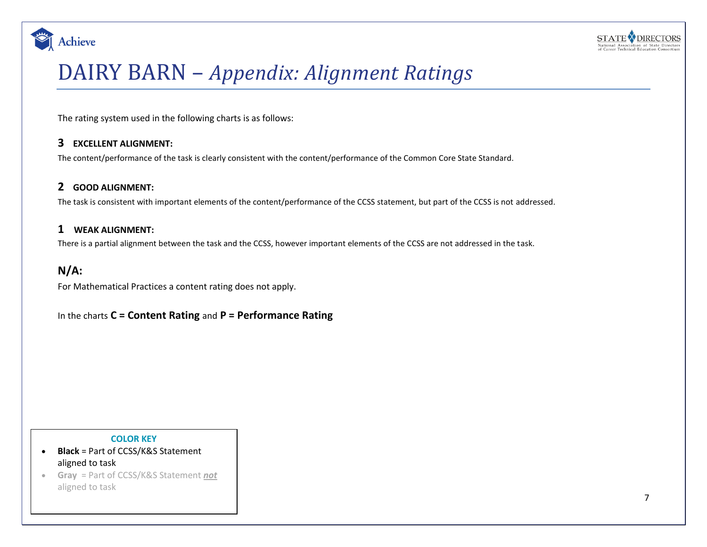



# DAIRY BARN – *Appendix: Alignment Ratings*

The rating system used in the following charts is as follows:

### **3 EXCELLENT ALIGNMENT:**

The content/performance of the task is clearly consistent with the content/performance of the Common Core State Standard.

#### **2 GOOD ALIGNMENT:**

The task is consistent with important elements of the content/performance of the CCSS statement, but part of the CCSS is not addressed.

#### **1 WEAK ALIGNMENT:**

There is a partial alignment between the task and the CCSS, however important elements of the CCSS are not addressed in the task.

### **N/A:**

For Mathematical Practices a content rating does not apply.

In the charts **C = Content Rating** and **P = Performance Rating**

#### **COLOR KEY**

- **Black** = Part of CCSS/K&S Statement aligned to task
- **Gray** = Part of CCSS/K&S Statement *not* aligned to task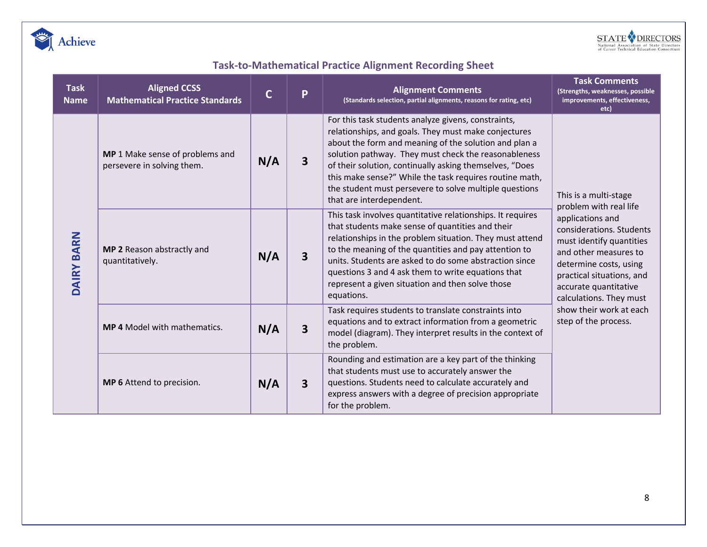



# **Task-to-Mathematical Practice Alignment Recording Sheet**

| <b>Task</b><br><b>Name</b> | <b>Aligned CCSS</b><br><b>Mathematical Practice Standards</b> | $\mathsf{C}$ | P                       | <b>Alignment Comments</b><br>(Standards selection, partial alignments, reasons for rating, etc)                                                                                                                                                                                                                                                                                                                                          | <b>Task Comments</b><br>(Strengths, weaknesses, possible<br>improvements, effectiveness,<br>etc)                                                                                                                                                                                                                   |  |
|----------------------------|---------------------------------------------------------------|--------------|-------------------------|------------------------------------------------------------------------------------------------------------------------------------------------------------------------------------------------------------------------------------------------------------------------------------------------------------------------------------------------------------------------------------------------------------------------------------------|--------------------------------------------------------------------------------------------------------------------------------------------------------------------------------------------------------------------------------------------------------------------------------------------------------------------|--|
| DAIRY BARN                 | MP 1 Make sense of problems and<br>persevere in solving them. | N/A          | 3                       | For this task students analyze givens, constraints,<br>relationships, and goals. They must make conjectures<br>about the form and meaning of the solution and plan a<br>solution pathway. They must check the reasonableness<br>of their solution, continually asking themselves, "Does<br>this make sense?" While the task requires routine math,<br>the student must persevere to solve multiple questions<br>that are interdependent. | This is a multi-stage<br>problem with real life<br>applications and<br>considerations. Students<br>must identify quantities<br>and other measures to<br>determine costs, using<br>practical situations, and<br>accurate quantitative<br>calculations. They must<br>show their work at each<br>step of the process. |  |
|                            | MP 2 Reason abstractly and<br>quantitatively.                 | N/A          | $\overline{\mathbf{3}}$ | This task involves quantitative relationships. It requires<br>that students make sense of quantities and their<br>relationships in the problem situation. They must attend<br>to the meaning of the quantities and pay attention to<br>units. Students are asked to do some abstraction since<br>questions 3 and 4 ask them to write equations that<br>represent a given situation and then solve those<br>equations.                    |                                                                                                                                                                                                                                                                                                                    |  |
|                            | <b>MP 4 Model with mathematics.</b>                           | N/A          | $\overline{\mathbf{3}}$ | Task requires students to translate constraints into<br>equations and to extract information from a geometric<br>model (diagram). They interpret results in the context of<br>the problem.                                                                                                                                                                                                                                               |                                                                                                                                                                                                                                                                                                                    |  |
|                            | MP 6 Attend to precision.                                     | N/A          | 3                       | Rounding and estimation are a key part of the thinking<br>that students must use to accurately answer the<br>questions. Students need to calculate accurately and<br>express answers with a degree of precision appropriate<br>for the problem.                                                                                                                                                                                          |                                                                                                                                                                                                                                                                                                                    |  |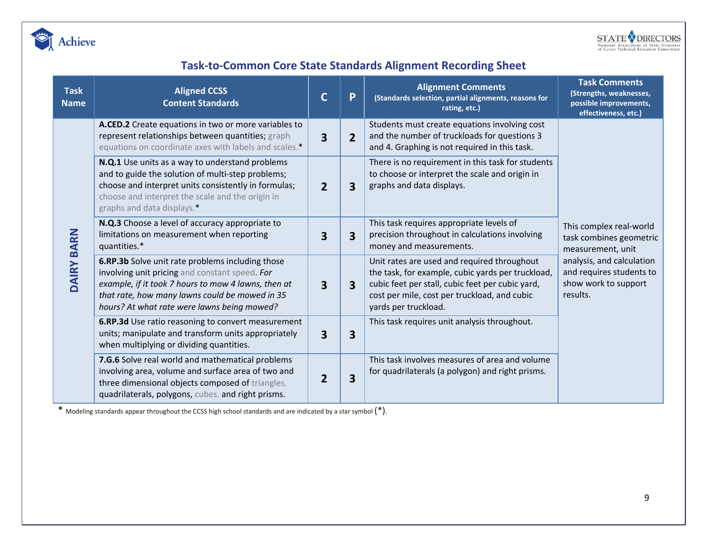



# **Task-to-Common Core State Standards Alignment Recording Sheet**

| <b>Task</b><br><b>Name</b> | <b>Aligned CCSS</b><br><b>Content Standards</b>                                                                                                                                                                                                            |                | P                       | <b>Alignment Comments</b><br>(Standards selection, partial alignments, reasons for<br>rating, etc.)                                                                                                                          | <b>Task Comments</b><br>(Strengths, weaknesses,<br>possible improvements,<br>effectiveness, etc.)                                                                    |
|----------------------------|------------------------------------------------------------------------------------------------------------------------------------------------------------------------------------------------------------------------------------------------------------|----------------|-------------------------|------------------------------------------------------------------------------------------------------------------------------------------------------------------------------------------------------------------------------|----------------------------------------------------------------------------------------------------------------------------------------------------------------------|
| DAIRY BARN                 | A.CED.2 Create equations in two or more variables to<br>represent relationships between quantities; graph<br>equations on coordinate axes with labels and scales.*                                                                                         | 3              | $\overline{2}$          | Students must create equations involving cost<br>and the number of truckloads for questions 3<br>and 4. Graphing is not required in this task.                                                                               | This complex real-world<br>task combines geometric<br>measurement, unit<br>analysis, and calculation<br>and requires students to<br>show work to support<br>results. |
|                            | N.Q.1 Use units as a way to understand problems<br>and to guide the solution of multi-step problems;<br>choose and interpret units consistently in formulas;<br>choose and interpret the scale and the origin in<br>graphs and data displays.*             | $\overline{2}$ | $\overline{\mathbf{3}}$ | There is no requirement in this task for students<br>to choose or interpret the scale and origin in<br>graphs and data displays.                                                                                             |                                                                                                                                                                      |
|                            | N.Q.3 Choose a level of accuracy appropriate to<br>limitations on measurement when reporting<br>quantities.*                                                                                                                                               | 3              | $\overline{\mathbf{3}}$ | This task requires appropriate levels of<br>precision throughout in calculations involving<br>money and measurements.                                                                                                        |                                                                                                                                                                      |
|                            | 6.RP.3b Solve unit rate problems including those<br>involving unit pricing and constant speed. For<br>example, if it took 7 hours to mow 4 lawns, then at<br>that rate, how many lawns could be mowed in 35<br>hours? At what rate were lawns being mowed? | 3              | $\overline{\mathbf{3}}$ | Unit rates are used and required throughout<br>the task, for example, cubic yards per truckload,<br>cubic feet per stall, cubic feet per cubic yard,<br>cost per mile, cost per truckload, and cubic<br>yards per truckload. |                                                                                                                                                                      |
|                            | 6.RP.3d Use ratio reasoning to convert measurement<br>units; manipulate and transform units appropriately<br>when multiplying or dividing quantities.                                                                                                      | 3              | 3                       | This task requires unit analysis throughout.                                                                                                                                                                                 |                                                                                                                                                                      |
|                            | 7.G.6 Solve real world and mathematical problems<br>involving area, volume and surface area of two and<br>three dimensional objects composed of triangles,<br>quadrilaterals, polygons, cubes, and right prisms.                                           | $\overline{2}$ | $\overline{\mathbf{3}}$ | This task involves measures of area and volume<br>for quadrilaterals (a polygon) and right prisms.                                                                                                                           |                                                                                                                                                                      |

\* Modeling standards appear throughout the CCSS high school standards and are indicated by a star symbol (\*).